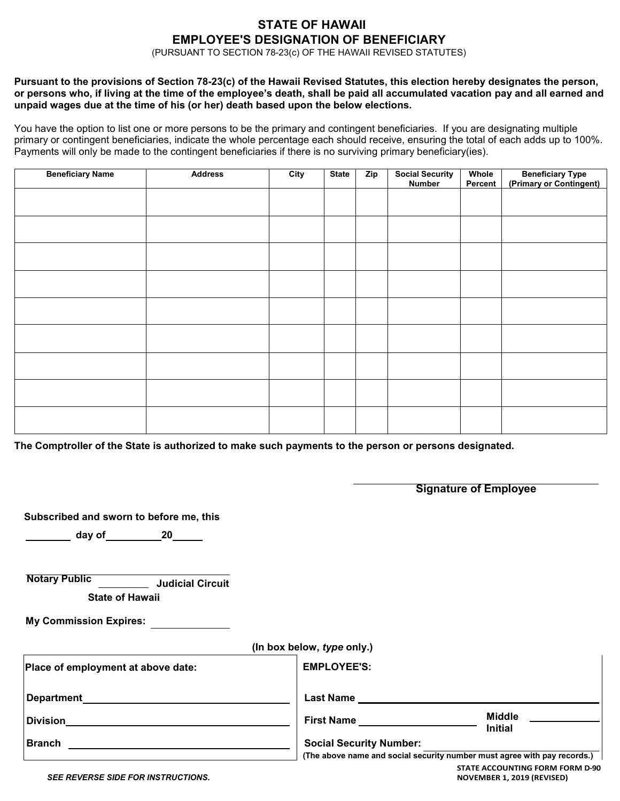# **STATE OF HAWAII EMPLOYEE'S DESIGNATION OF BENEFICIARY**

(PURSUANT TO SECTION 78-23(c) OF THE HAWAII REVISED STATUTES)

#### **Pursuant to the provisions of Section 78-23(c) of the Hawaii Revised Statutes, this election hereby designates the person, or persons who, if living at the time of the employee's death, shall be paid all accumulated vacation pay and all earned and unpaid wages due at the time of his (or her) death based upon the below elections.**

You have the option to list one or more persons to be the primary and contingent beneficiaries. If you are designating multiple primary or contingent beneficiaries, indicate the whole percentage each should receive, ensuring the total of each adds up to 100%. Payments will only be made to the contingent beneficiaries if there is no surviving primary beneficiary(ies).

| <b>Beneficiary Name</b> | <b>Address</b> | City | <b>State</b> | <b>Zip</b> | Social Security<br>Number | Whole<br>Percent | <b>Beneficiary Type</b><br>(Primary or Contingent) |
|-------------------------|----------------|------|--------------|------------|---------------------------|------------------|----------------------------------------------------|
|                         |                |      |              |            |                           |                  |                                                    |
|                         |                |      |              |            |                           |                  |                                                    |
|                         |                |      |              |            |                           |                  |                                                    |
|                         |                |      |              |            |                           |                  |                                                    |
|                         |                |      |              |            |                           |                  |                                                    |
|                         |                |      |              |            |                           |                  |                                                    |
|                         |                |      |              |            |                           |                  |                                                    |
|                         |                |      |              |            |                           |                  |                                                    |
|                         |                |      |              |            |                           |                  |                                                    |
|                         |                |      |              |            |                           |                  |                                                    |

**The Comptroller of the State is authorized to make such payments to the person or persons designated.**

|                                                                                                                |                                                                          | <b>Signature of Employee</b> |  |  |  |
|----------------------------------------------------------------------------------------------------------------|--------------------------------------------------------------------------|------------------------------|--|--|--|
| Subscribed and sworn to before me, this                                                                        |                                                                          |                              |  |  |  |
| day of the contract of the contract of the contract of the contract of the contract of the contract of the con |                                                                          |                              |  |  |  |
| <b>Notary Public</b><br>Judicial Circuit<br><b>State of Hawaii</b>                                             |                                                                          |                              |  |  |  |
| <b>My Commission Expires:</b>                                                                                  |                                                                          |                              |  |  |  |
|                                                                                                                | (In box below, type only.)                                               |                              |  |  |  |
| Place of employment at above date:                                                                             | <b>EMPLOYEE'S:</b>                                                       |                              |  |  |  |
|                                                                                                                |                                                                          |                              |  |  |  |
|                                                                                                                | First Name ____________                                                  | Middle<br><b>Initial</b>     |  |  |  |
| <b>Branch</b>                                                                                                  | <b>Social Security Number:</b>                                           |                              |  |  |  |
|                                                                                                                | (The above name and social security number must agree with pay records.) |                              |  |  |  |

*SEE REVERSE SIDE FOR INSTRUCTIONS.*

**STATE ACCOUNTING FORM FORM D-90 NOVEMBER 1, 2019 (REVISED)**